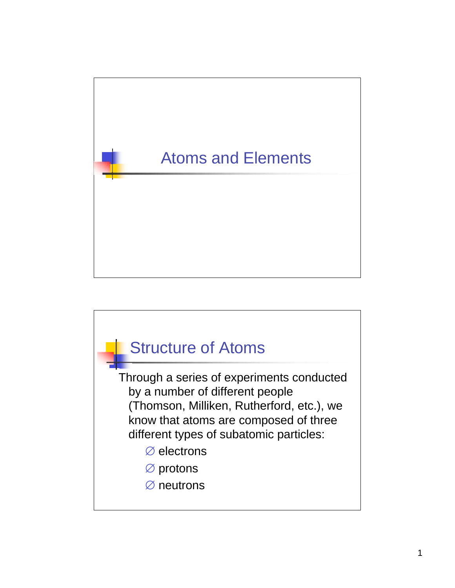

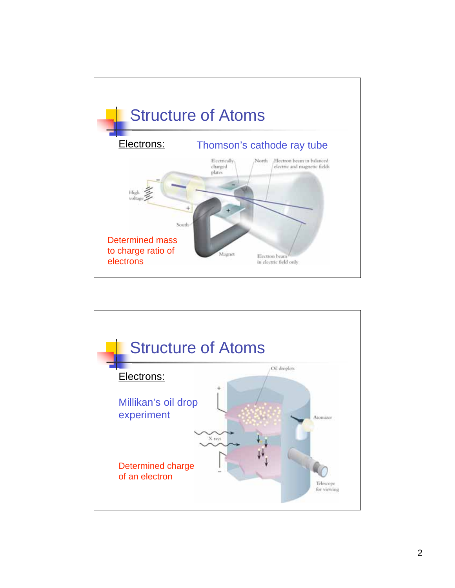

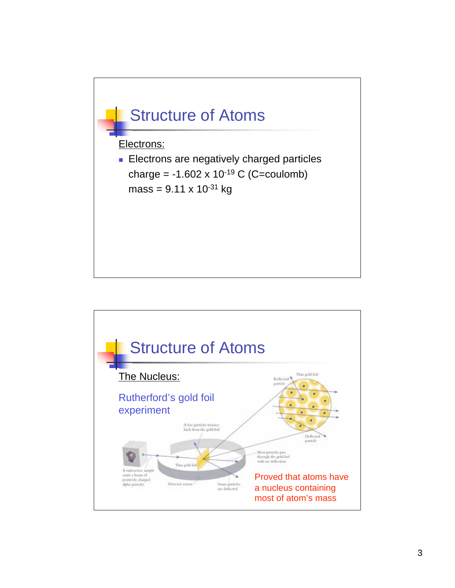

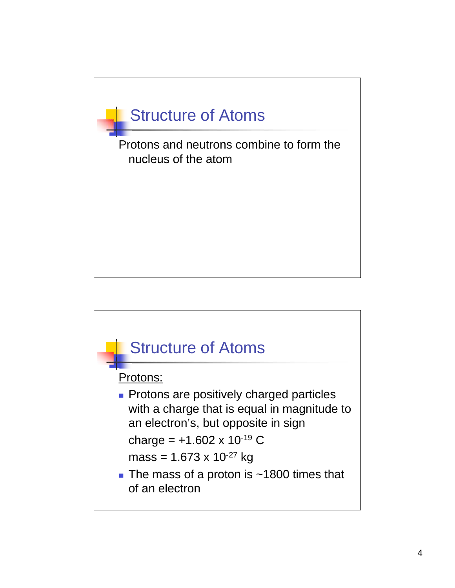

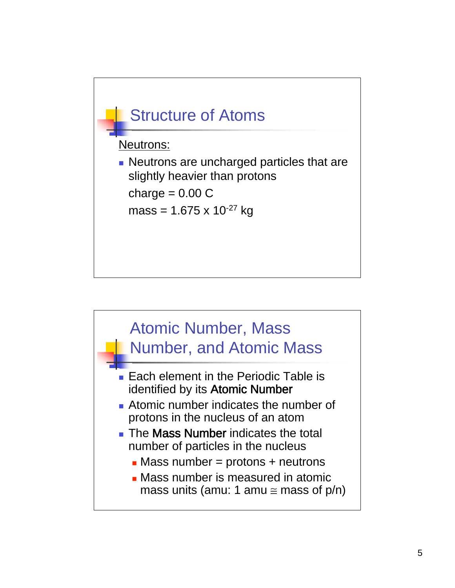

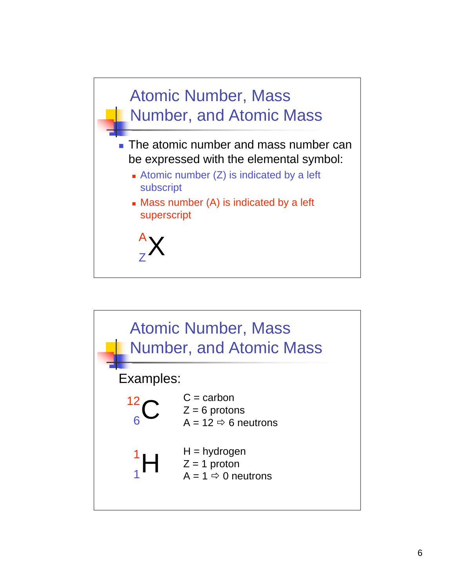

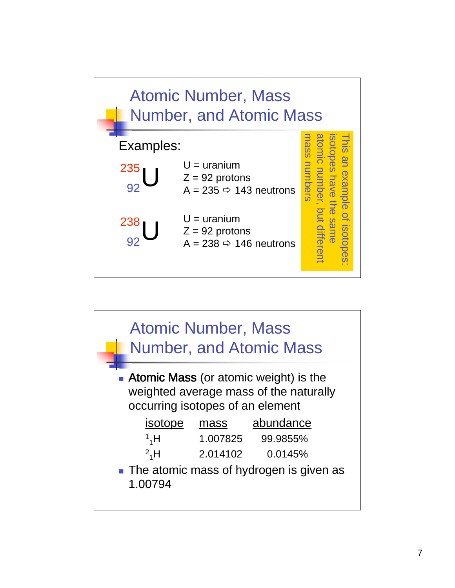

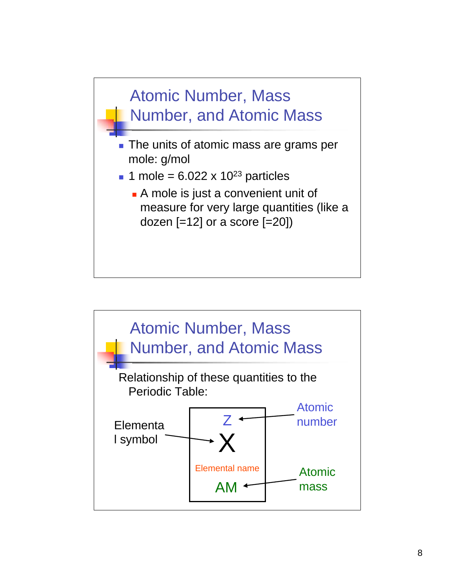

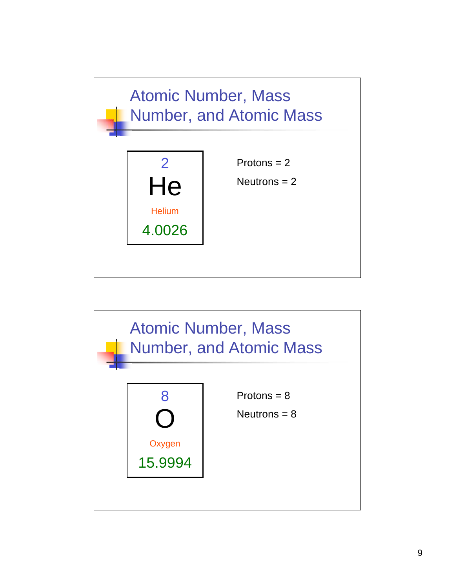

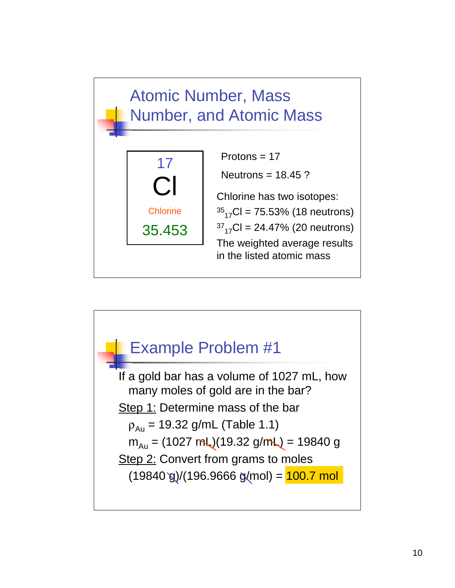## Atomic Number, Mass Number, and Atomic Mass Cl 17 Protons = 17 Neutrons  $= 18.45$  ? Chlorine has two isotopes:

**Chlorine** 

35.453

 $^{35}$ <sub>17</sub>Cl = 75.53% (18 neutrons)  $37_{17}$ CI = 24.47% (20 neutrons) The weighted average results in the listed atomic mass

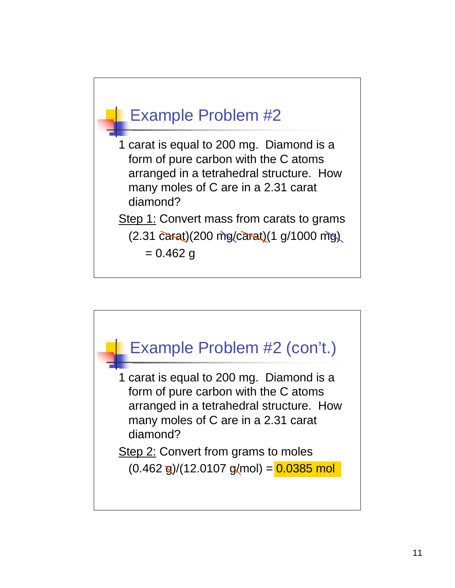

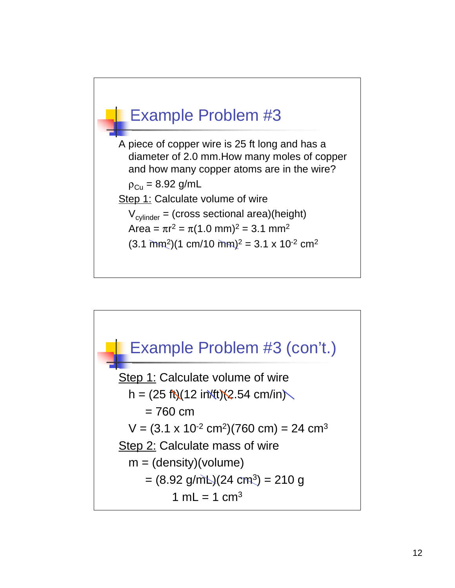

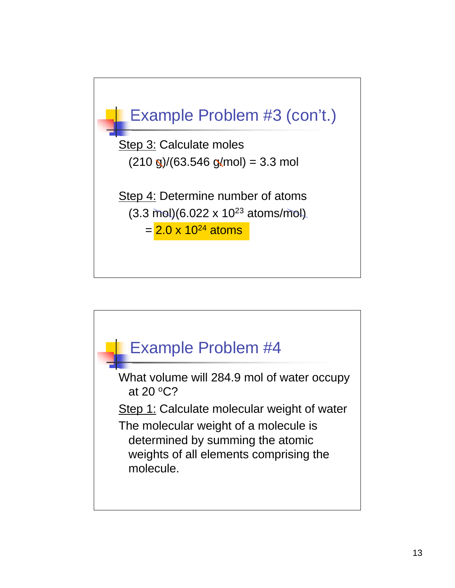